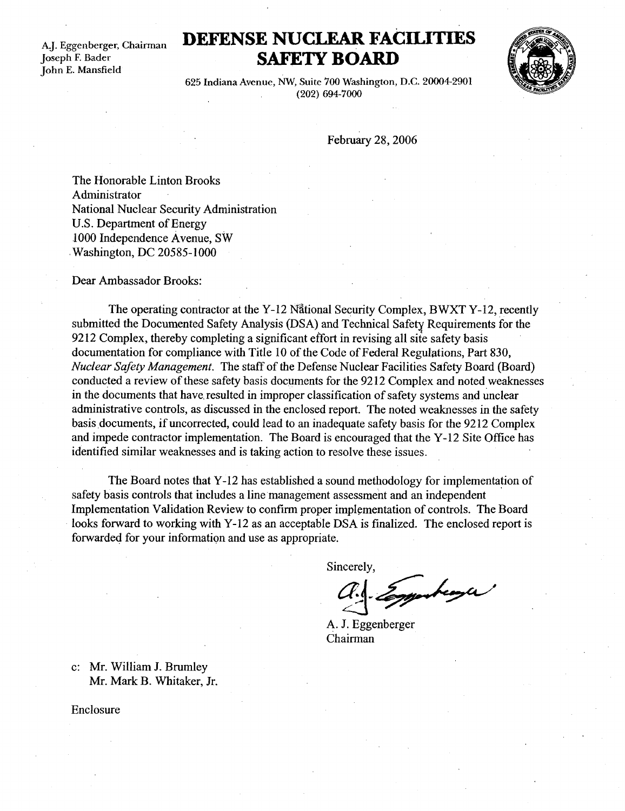A.J. Eggenberger, Chairman Joseph F. Bader John E. Mansfield

## DEFENSE NUCLEAR FACILITIES SAFETY BOARD



625 Indiana Avenue, NW, Suite 700 Washington, D.C. 20004-2901 (202) 694-7000

February 28, 2006

The Honorable Linton Brooks Administrator National Nuclear Security Administration U.S. Department of Energy .1000 Independence Avenue, SW Washington, DC 20585-1000

Dear Ambassador Brooks :

The operating contractor at the Y-12 National Security Complex, BWXT Y-12, recently submitted the Documented Safety Analysis (DSA) and Technical Safety Requirements for the 9212 Complex, thereby completing a significant effort in revising all site safety basis documentation for compliance with Title 10 of the Code of Federal Regulations, Part 830, Nuclear Safety Management. The staff of the Defense Nuclear Facilities Safety Board (Board) conducted a review of these safety basis documents for the 9212 Complex and noted weaknesses in the documents that have, resulted in improper classification of safety systems and unclear administrative controls, as discussed in the enclosed report. The noted weaknesses in the safety basis documents, if uncorrected, could lead to an inadequate safety basis for the 9212 Complex and impede contractor implementation. The Board is encouraged that the Y-12 Site Office has identified similar weaknesses and is taking action to resolve these issues .

The Board notes that Y-12 has established a sound methodology for implementation of safety basis controls that includes a line management assessment and an independent Implementation Validation Review to confirm proper implementation of controls . The Board looks forward to working with Y-12 as an acceptable DSA is finalized. The enclosed report is forwarded for your information and use as appropriate .

Sincerely,

monteaga

A. J. Eggenberger Chairman

c: Mr. William J. Brumley Mr. Mark B. Whitaker, Jr.

Enclosure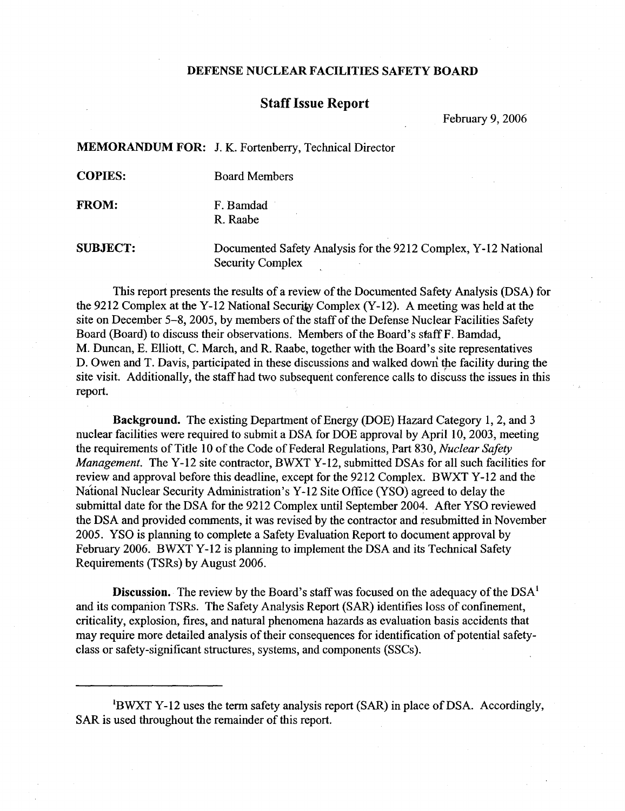## DEFENSE NUCLEAR FACILITIES SAFETY BOARD

## Staff Issue Report

February 9, 2006

MEMORANDUM FOR: J. K. Fortenberry, Technical Director

**COPIES:** Board Members

FROM: F. Bamdad R. Raabe

SUBJECT : DEFENSE NUCLEAR FACILITIES SAFETY BOARD<br>
Staff Issue Report<br>
February 9, 2006<br>
MEMORANDUM FOR: J. K. Fortenberry, Technical Director<br>
COPIES: Board Members<br>
FROM: F. Bamdad<br>
R. Raabe<br>
SUBJECT: Documented Safety Analysis fo Security Complex

> This report presents the results of a review of the Documented Safety Analysis (DSA) for the 9212 Complex at the Y-12 National Security Complex (Y-12). A meeting was held at the site on December 5-8, 2005, by members of the staff of the Defense Nuclear Facilities Safety Board (Board) to discuss their observations. Members of the Board's staff F. Bamdad, M. Duncan, E. Elliott, C. March, and R. Raabe, together with the Board's site representatives D. Owen and T. Davis, participated in these discussions and walked down the facility during the site visit. Additionally, the staff had two subsequent conference calls to discuss the issues in this report.

> Background. The existing Department of Energy (DOE) Hazard Category 1, 2, and 3 nuclear facilities were required to submit a DSA for DOE approval by April 10, 2003, meeting the requirements of Title 10 of the Code of Federal Regulations, Part 830, Nuclear Safety Management. The Y-12 site contractor, BWXT Y-12, submitted DSAs for all such facilities for review and approval before this deadline, except for the 9212 Complex . BWXT Y-12 and the National Nuclear Security Administration's Y-12 Site Office (YSO) agreed to delay the submittal date for the DSA for the 9212 Complex until September 2004. After YSO reviewed the DSA and provided comments, it was revised by the contractor and resubmitted in November 2005 . YSO is planning to complete a Safety Evaluation Report to document approval by February 2006. BWXT Y-12 is planning to implement the DSA and its Technical Safety Requirements (TSRs) by August 2006 .

**Discussion.** The review by the Board's staff was focused on the adequacy of the  $DSA<sup>1</sup>$ and its companion TSRs. The Safety Analysis Report (SAR) identifies loss of confinement, criticality, explosion, fires, and natural phenomena hazards as evaluation basis accidents that may require more detailed analysis of their consequences for identification of potential safetyclass or safety-significant structures, systems, and components (SSCs) .

<sup>1</sup>BWXT Y-12 uses the term safety analysis report (SAR) in place of DSA. Accordingly, SAR is used throughout the remainder of this report.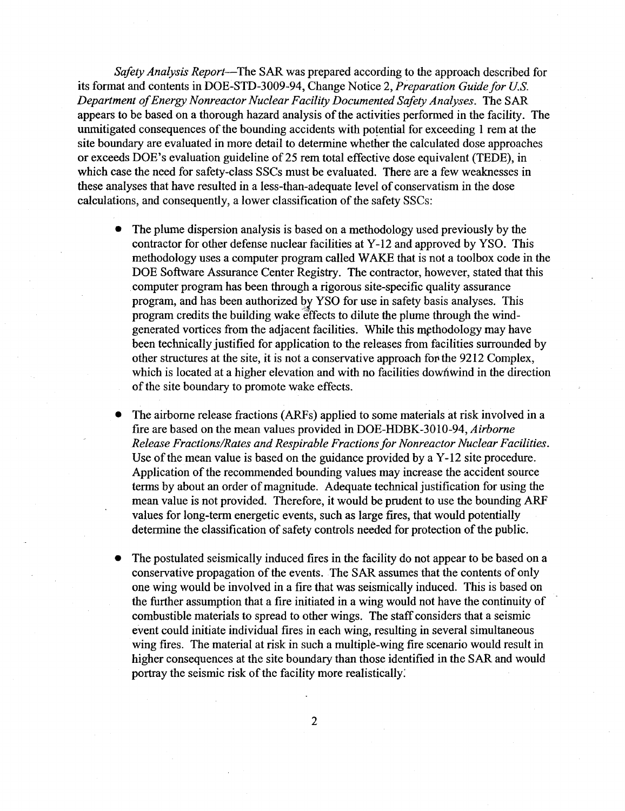Safety Analysis Report—The SAR was prepared according to the approach described for its format and contents in DOE-STD-3009-94, Change Notice 2, Preparation Guide for U.S. Department of Energy Nonreactor Nuclear Facility Documented Safety Analyses. The SAR appears to be based on a thorough hazard analysis of the activities performed in the facility. The unmitigated consequences of the bounding accidents with potential for exceeding 1 rem at the site boundary are evaluated in more detail to determine whether the calculated dose approaches or exceeds DOE's evaluation guideline of 25 rem total effective dose equivalent (TEDE), in which case the need for safety-class SSCs must be evaluated. There are a few weaknesses in these analyses that have resulted in a less-than-adequate level of conservatism in the dose calculations, and consequently, a lower classification of the safety SSCs : 

- The plume dispersion analysis is based on a methodology used previously by the contractor for other defense nuclear facilities at Y-12 and approved by YSO . This methodology uses a computer program called WAKE that is not a toolbox code in the DOE Software Assurance Center Registry. The contractor, however, stated that this .computer program has been through a rigorous site-specific quality assurance program, and has been authorized by YSO for use in safety basis analyses. This program credits the building wake effects to dilute the plume through the windgenerated vortices from the adjacent facilities . While this methodology may have been technically justified for application to the releases from facilities surrounded by other structures at the site, it is not a conservative approach fop the 9212 Complex, which is located at a higher elevation and with no facilities downwind in the direction of the site boundary to promote wake effects.
- The airborne release fractions (ARFs) applied to some materials at risk involved in a fire are based on the mean values provided in DOE-HDBK-3010-94, Airborne Release Fractions/Rates and Respirable Fractions for Nonreactor Nuclear Facilities. Use of the mean value is based on the guidance provided by a Y-12 site procedure. Application of the recommended bounding values may increase the accident source terms by about an order of magnitude . Adequate technical justification for using the mean value is not provided. Therefore, it would be prudent to use the bounding ARF values for long-term energetic events, such as large fires, that would potentially determine the classification of safety controls needed for protection of the public .
- The postulated seismically induced fires in the facility do not appear to be based on a conservative propagation of the events . The SAR assumes that the contents of only one wing would be involved in a fire that was seismically induced. This is based on the further assumption that a fire initiated in a wing would not have the continuity of combustible materials to spread to other wings. The staff considers that a seismic event could initiate individual fires in each wing, resulting in several simultaneous wing fires. The material at risk in such a multiple-wing fire scenario would result in higher consequences at the site boundary than those identified in the SAR and would portray the seismic risk of the facility more realistically :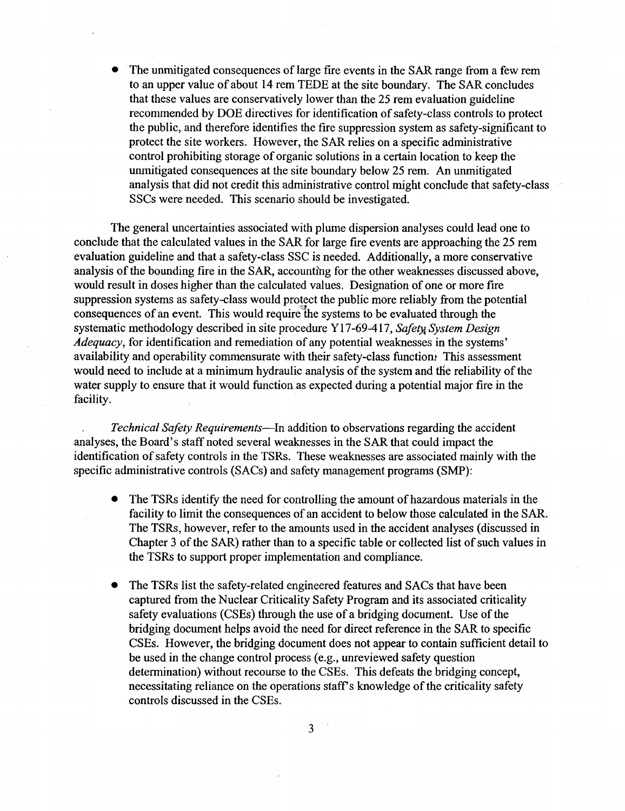• The unmitigated consequences of large fire events in the SAR range from a few rem to an upper value of about 14 rem TEDE at the site boundary . The SAR concludes that these values are conservatively lower than the 25 rem evaluation guideline recommended by DOE directives for identification of safety-class controls to protect the public, and therefore identifies the fire suppression system as safety-significant to protect the site workers. However, the SAR relies on a specific administrative control prohibiting storage of organic solutions in a certain location to keep the unmitigated consequences at the site boundary below 25 rem. An unmitigated analysis that did not credit this administrative control might conclude that safety-class SSCs were needed. This scenario should be investigated. 

> The general uncertainties associated with plume dispersion analyses could lead one to conclude that the calculated values in the SAR for large fire events are approaching the 25 rem evaluation guideline and that a safety-class SSC is needed. Additionally, a more conservative analysis of the bounding fire in the SAP, accounting for the other weaknesses discussed above, would result in doses higher than the calculated values. Designation of one or more fire suppression systems as safety-class would protect the public more reliably from the potential consequences of an event. This would require the systems to be evaluated through the systematic methodology described in site procedure Y17-69-417, Safety System Design Adequacy, for identification and remediation of any potential weaknesses in the systems' availability and operability commensurate with their safety-class function. This assessment would need to include at a minimum hydraulic analysis of the system and the reliability of the water supply to ensure that it would function as expected during a potential major fire in the facility.

> Technical Safety Requirements—In addition to observations regarding the accident analyses, the Board's staff noted several weaknesses in the SAR that could impact the identification of safety controls in the TSRs. These weaknesses are associated mainly with the specific administrative controls (SACs) and safety management programs (SMP):

- The TSRs identify the need for controlling the amount of hazardous materials in the facility to limit the consequences of an accident to below those calculated in the SAR . The TSRs, however, refer to the amounts used in the accident analyses (discussed in Chapter 3 of the SAR) rather than to a specific table or collected list of such values in the TSRs to support proper implementation and compliance .
- The TSRs list the safety-related engineered features and SACs that have been captured from the Nuclear Criticality Safety Program and its associated criticality safety evaluations (CSEs) through the use of a bridging document. Use of the bridging document helps avoid the need for direct reference in the SAR to specific CSEs. However, the bridging document does not appear to contain sufficient detail to be used in the change control process (e.g., unreviewed safety question determination) without recourse to the CSEs. This defeats the bridging concept, necessitating reliance on the operations staff's knowledge of the criticality safety controls discussed in the CSEs .